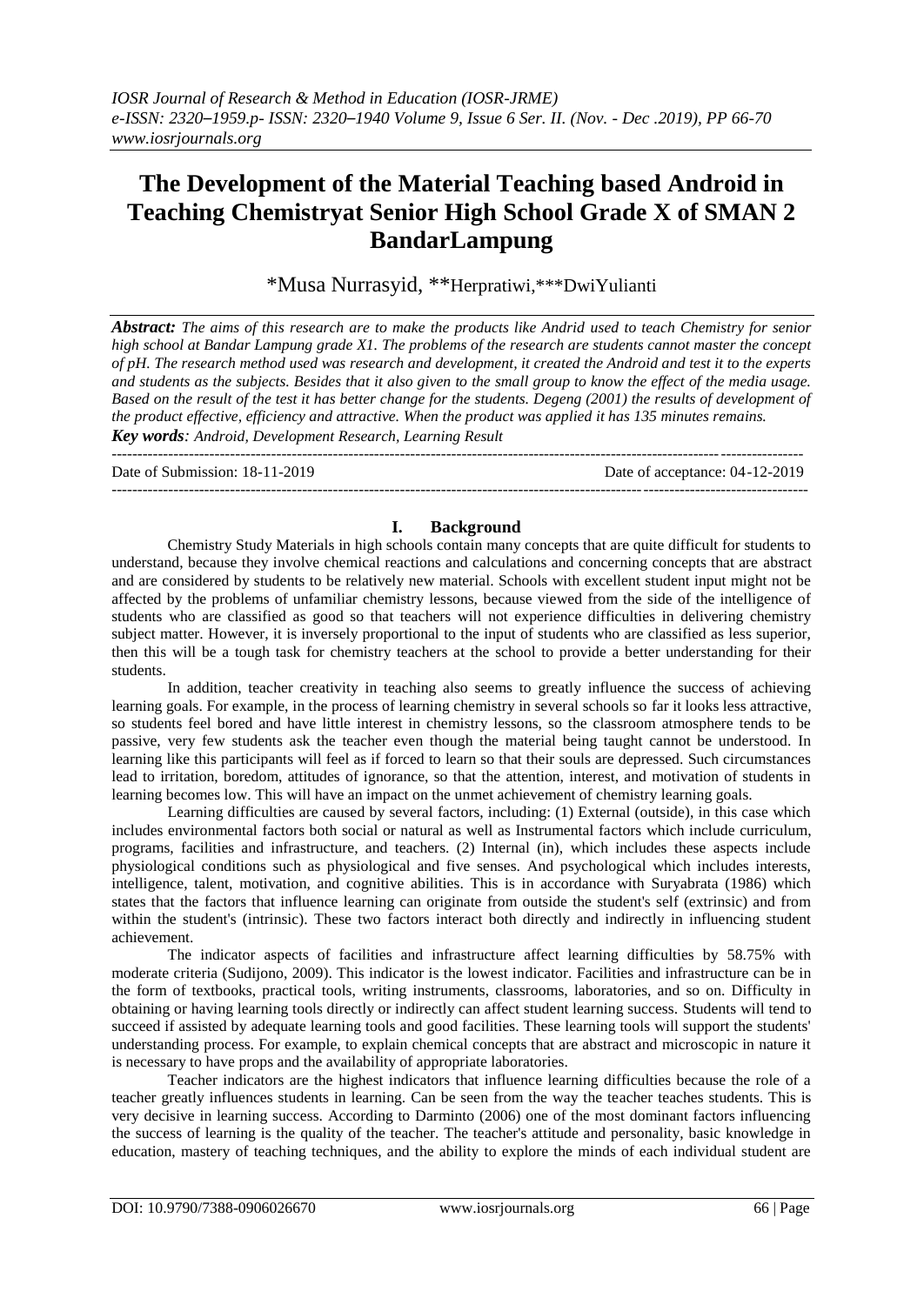# **The Development of the Material Teaching based Android in Teaching Chemistryat Senior High School Grade X of SMAN 2 BandarLampung**

\*Musa Nurrasyid, \*\*Herpratiwi,\*\*\*DwiYulianti

*Abstract: The aims of this research are to make the products like Andrid used to teach Chemistry for senior high school at Bandar Lampung grade X1. The problems of the research are students cannot master the concept of pH. The research method used was research and development, it created the Android and test it to the experts and students as the subjects. Besides that it also given to the small group to know the effect of the media usage. Based on the result of the test it has better change for the students. Degeng (2001) the results of development of the product effective, efficiency and attractive. When the product was applied it has 135 minutes remains. Key words: Android, Development Research, Learning Result*

Date of Submission: 18-11-2019 Date of acceptance: 04-12-2019

 $-1-\frac{1}{2}$ 

--------------------------------------------------------------------------------------------------------------------------------------

## **I. Background**

Chemistry Study Materials in high schools contain many concepts that are quite difficult for students to understand, because they involve chemical reactions and calculations and concerning concepts that are abstract and are considered by students to be relatively new material. Schools with excellent student input might not be affected by the problems of unfamiliar chemistry lessons, because viewed from the side of the intelligence of students who are classified as good so that teachers will not experience difficulties in delivering chemistry subject matter. However, it is inversely proportional to the input of students who are classified as less superior, then this will be a tough task for chemistry teachers at the school to provide a better understanding for their students.

In addition, teacher creativity in teaching also seems to greatly influence the success of achieving learning goals. For example, in the process of learning chemistry in several schools so far it looks less attractive, so students feel bored and have little interest in chemistry lessons, so the classroom atmosphere tends to be passive, very few students ask the teacher even though the material being taught cannot be understood. In learning like this participants will feel as if forced to learn so that their souls are depressed. Such circumstances lead to irritation, boredom, attitudes of ignorance, so that the attention, interest, and motivation of students in learning becomes low. This will have an impact on the unmet achievement of chemistry learning goals.

Learning difficulties are caused by several factors, including: (1) External (outside), in this case which includes environmental factors both social or natural as well as Instrumental factors which include curriculum, programs, facilities and infrastructure, and teachers. (2) Internal (in), which includes these aspects include physiological conditions such as physiological and five senses. And psychological which includes interests, intelligence, talent, motivation, and cognitive abilities. This is in accordance with Suryabrata (1986) which states that the factors that influence learning can originate from outside the student's self (extrinsic) and from within the student's (intrinsic). These two factors interact both directly and indirectly in influencing student achievement.

The indicator aspects of facilities and infrastructure affect learning difficulties by 58.75% with moderate criteria (Sudijono, 2009). This indicator is the lowest indicator. Facilities and infrastructure can be in the form of textbooks, practical tools, writing instruments, classrooms, laboratories, and so on. Difficulty in obtaining or having learning tools directly or indirectly can affect student learning success. Students will tend to succeed if assisted by adequate learning tools and good facilities. These learning tools will support the students' understanding process. For example, to explain chemical concepts that are abstract and microscopic in nature it is necessary to have props and the availability of appropriate laboratories.

Teacher indicators are the highest indicators that influence learning difficulties because the role of a teacher greatly influences students in learning. Can be seen from the way the teacher teaches students. This is very decisive in learning success. According to Darminto (2006) one of the most dominant factors influencing the success of learning is the quality of the teacher. The teacher's attitude and personality, basic knowledge in education, mastery of teaching techniques, and the ability to explore the minds of each individual student are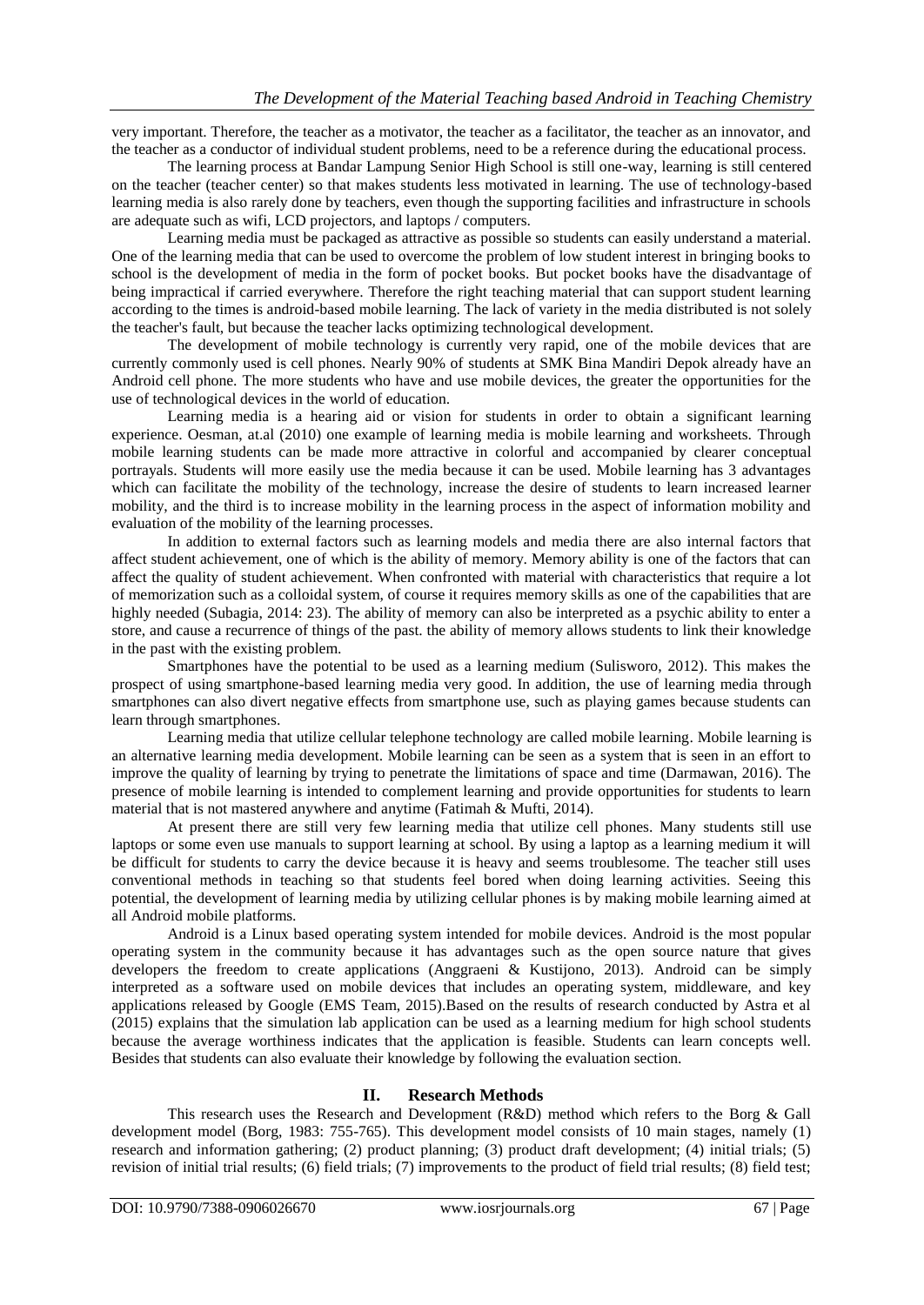very important. Therefore, the teacher as a motivator, the teacher as a facilitator, the teacher as an innovator, and the teacher as a conductor of individual student problems, need to be a reference during the educational process.

The learning process at Bandar Lampung Senior High School is still one-way, learning is still centered on the teacher (teacher center) so that makes students less motivated in learning. The use of technology-based learning media is also rarely done by teachers, even though the supporting facilities and infrastructure in schools are adequate such as wifi, LCD projectors, and laptops / computers.

Learning media must be packaged as attractive as possible so students can easily understand a material. One of the learning media that can be used to overcome the problem of low student interest in bringing books to school is the development of media in the form of pocket books. But pocket books have the disadvantage of being impractical if carried everywhere. Therefore the right teaching material that can support student learning according to the times is android-based mobile learning. The lack of variety in the media distributed is not solely the teacher's fault, but because the teacher lacks optimizing technological development.

The development of mobile technology is currently very rapid, one of the mobile devices that are currently commonly used is cell phones. Nearly 90% of students at SMK Bina Mandiri Depok already have an Android cell phone. The more students who have and use mobile devices, the greater the opportunities for the use of technological devices in the world of education.

Learning media is a hearing aid or vision for students in order to obtain a significant learning experience. Oesman, at.al (2010) one example of learning media is mobile learning and worksheets. Through mobile learning students can be made more attractive in colorful and accompanied by clearer conceptual portrayals. Students will more easily use the media because it can be used. Mobile learning has 3 advantages which can facilitate the mobility of the technology, increase the desire of students to learn increased learner mobility, and the third is to increase mobility in the learning process in the aspect of information mobility and evaluation of the mobility of the learning processes.

In addition to external factors such as learning models and media there are also internal factors that affect student achievement, one of which is the ability of memory. Memory ability is one of the factors that can affect the quality of student achievement. When confronted with material with characteristics that require a lot of memorization such as a colloidal system, of course it requires memory skills as one of the capabilities that are highly needed (Subagia, 2014: 23). The ability of memory can also be interpreted as a psychic ability to enter a store, and cause a recurrence of things of the past. the ability of memory allows students to link their knowledge in the past with the existing problem.

Smartphones have the potential to be used as a learning medium (Sulisworo, 2012). This makes the prospect of using smartphone-based learning media very good. In addition, the use of learning media through smartphones can also divert negative effects from smartphone use, such as playing games because students can learn through smartphones.

Learning media that utilize cellular telephone technology are called mobile learning. Mobile learning is an alternative learning media development. Mobile learning can be seen as a system that is seen in an effort to improve the quality of learning by trying to penetrate the limitations of space and time (Darmawan, 2016). The presence of mobile learning is intended to complement learning and provide opportunities for students to learn material that is not mastered anywhere and anytime (Fatimah & Mufti, 2014).

At present there are still very few learning media that utilize cell phones. Many students still use laptops or some even use manuals to support learning at school. By using a laptop as a learning medium it will be difficult for students to carry the device because it is heavy and seems troublesome. The teacher still uses conventional methods in teaching so that students feel bored when doing learning activities. Seeing this potential, the development of learning media by utilizing cellular phones is by making mobile learning aimed at all Android mobile platforms.

Android is a Linux based operating system intended for mobile devices. Android is the most popular operating system in the community because it has advantages such as the open source nature that gives developers the freedom to create applications (Anggraeni & Kustijono, 2013). Android can be simply interpreted as a software used on mobile devices that includes an operating system, middleware, and key applications released by Google (EMS Team, 2015).Based on the results of research conducted by Astra et al (2015) explains that the simulation lab application can be used as a learning medium for high school students because the average worthiness indicates that the application is feasible. Students can learn concepts well. Besides that students can also evaluate their knowledge by following the evaluation section.

### **II. Research Methods**

This research uses the Research and Development (R&D) method which refers to the Borg & Gall development model (Borg, 1983: 755-765). This development model consists of 10 main stages, namely (1) research and information gathering; (2) product planning; (3) product draft development; (4) initial trials; (5) revision of initial trial results; (6) field trials; (7) improvements to the product of field trial results; (8) field test;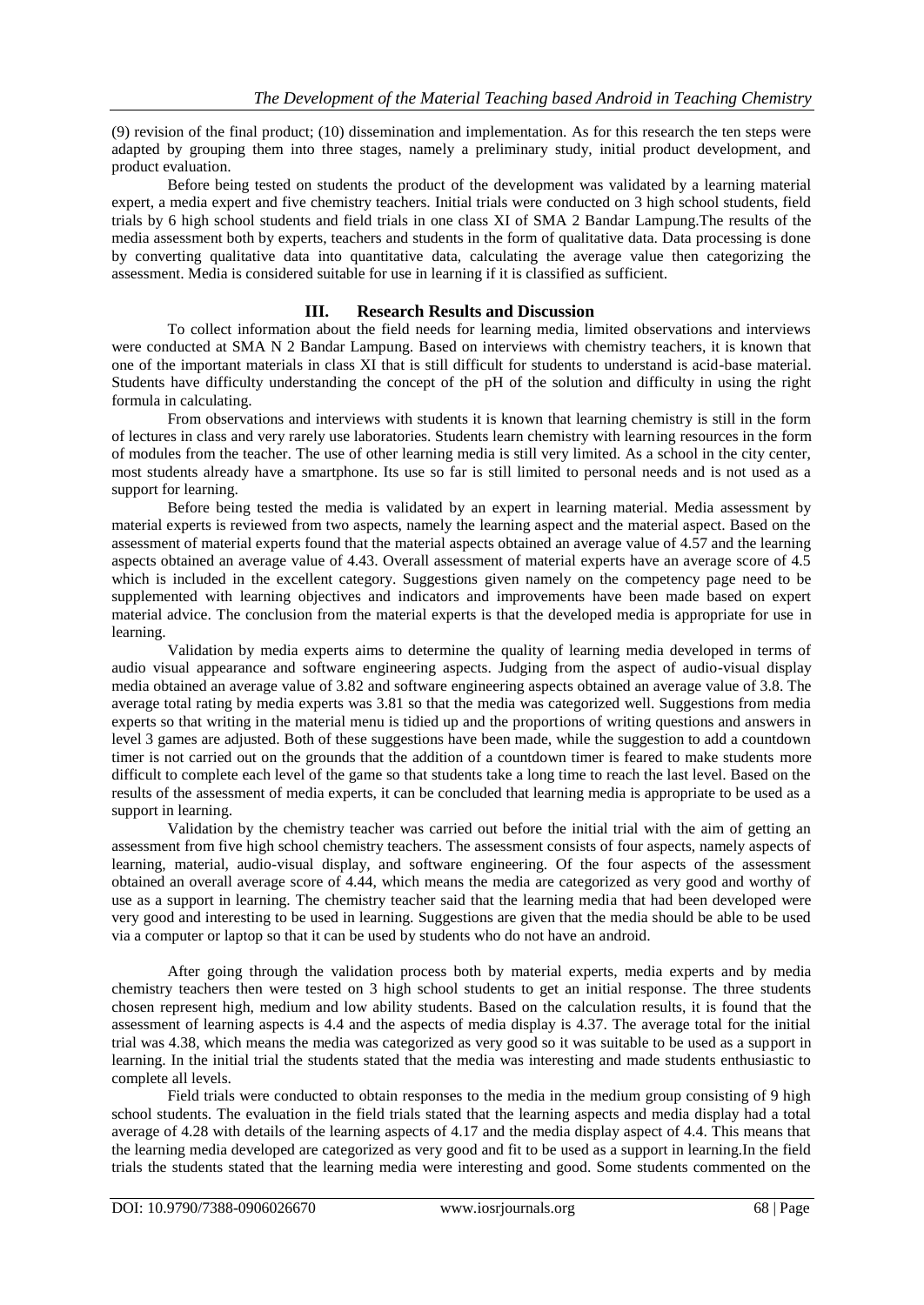(9) revision of the final product; (10) dissemination and implementation. As for this research the ten steps were adapted by grouping them into three stages, namely a preliminary study, initial product development, and product evaluation.

Before being tested on students the product of the development was validated by a learning material expert, a media expert and five chemistry teachers. Initial trials were conducted on 3 high school students, field trials by 6 high school students and field trials in one class XI of SMA 2 Bandar Lampung.The results of the media assessment both by experts, teachers and students in the form of qualitative data. Data processing is done by converting qualitative data into quantitative data, calculating the average value then categorizing the assessment. Media is considered suitable for use in learning if it is classified as sufficient.

### **III. Research Results and Discussion**

To collect information about the field needs for learning media, limited observations and interviews were conducted at SMA N 2 Bandar Lampung. Based on interviews with chemistry teachers, it is known that one of the important materials in class XI that is still difficult for students to understand is acid-base material. Students have difficulty understanding the concept of the pH of the solution and difficulty in using the right formula in calculating.

From observations and interviews with students it is known that learning chemistry is still in the form of lectures in class and very rarely use laboratories. Students learn chemistry with learning resources in the form of modules from the teacher. The use of other learning media is still very limited. As a school in the city center, most students already have a smartphone. Its use so far is still limited to personal needs and is not used as a support for learning.

Before being tested the media is validated by an expert in learning material. Media assessment by material experts is reviewed from two aspects, namely the learning aspect and the material aspect. Based on the assessment of material experts found that the material aspects obtained an average value of 4.57 and the learning aspects obtained an average value of 4.43. Overall assessment of material experts have an average score of 4.5 which is included in the excellent category. Suggestions given namely on the competency page need to be supplemented with learning objectives and indicators and improvements have been made based on expert material advice. The conclusion from the material experts is that the developed media is appropriate for use in learning.

Validation by media experts aims to determine the quality of learning media developed in terms of audio visual appearance and software engineering aspects. Judging from the aspect of audio-visual display media obtained an average value of 3.82 and software engineering aspects obtained an average value of 3.8. The average total rating by media experts was 3.81 so that the media was categorized well. Suggestions from media experts so that writing in the material menu is tidied up and the proportions of writing questions and answers in level 3 games are adjusted. Both of these suggestions have been made, while the suggestion to add a countdown timer is not carried out on the grounds that the addition of a countdown timer is feared to make students more difficult to complete each level of the game so that students take a long time to reach the last level. Based on the results of the assessment of media experts, it can be concluded that learning media is appropriate to be used as a support in learning.

Validation by the chemistry teacher was carried out before the initial trial with the aim of getting an assessment from five high school chemistry teachers. The assessment consists of four aspects, namely aspects of learning, material, audio-visual display, and software engineering. Of the four aspects of the assessment obtained an overall average score of 4.44, which means the media are categorized as very good and worthy of use as a support in learning. The chemistry teacher said that the learning media that had been developed were very good and interesting to be used in learning. Suggestions are given that the media should be able to be used via a computer or laptop so that it can be used by students who do not have an android.

After going through the validation process both by material experts, media experts and by media chemistry teachers then were tested on 3 high school students to get an initial response. The three students chosen represent high, medium and low ability students. Based on the calculation results, it is found that the assessment of learning aspects is 4.4 and the aspects of media display is 4.37. The average total for the initial trial was 4.38, which means the media was categorized as very good so it was suitable to be used as a support in learning. In the initial trial the students stated that the media was interesting and made students enthusiastic to complete all levels.

Field trials were conducted to obtain responses to the media in the medium group consisting of 9 high school students. The evaluation in the field trials stated that the learning aspects and media display had a total average of 4.28 with details of the learning aspects of 4.17 and the media display aspect of 4.4. This means that the learning media developed are categorized as very good and fit to be used as a support in learning.In the field trials the students stated that the learning media were interesting and good. Some students commented on the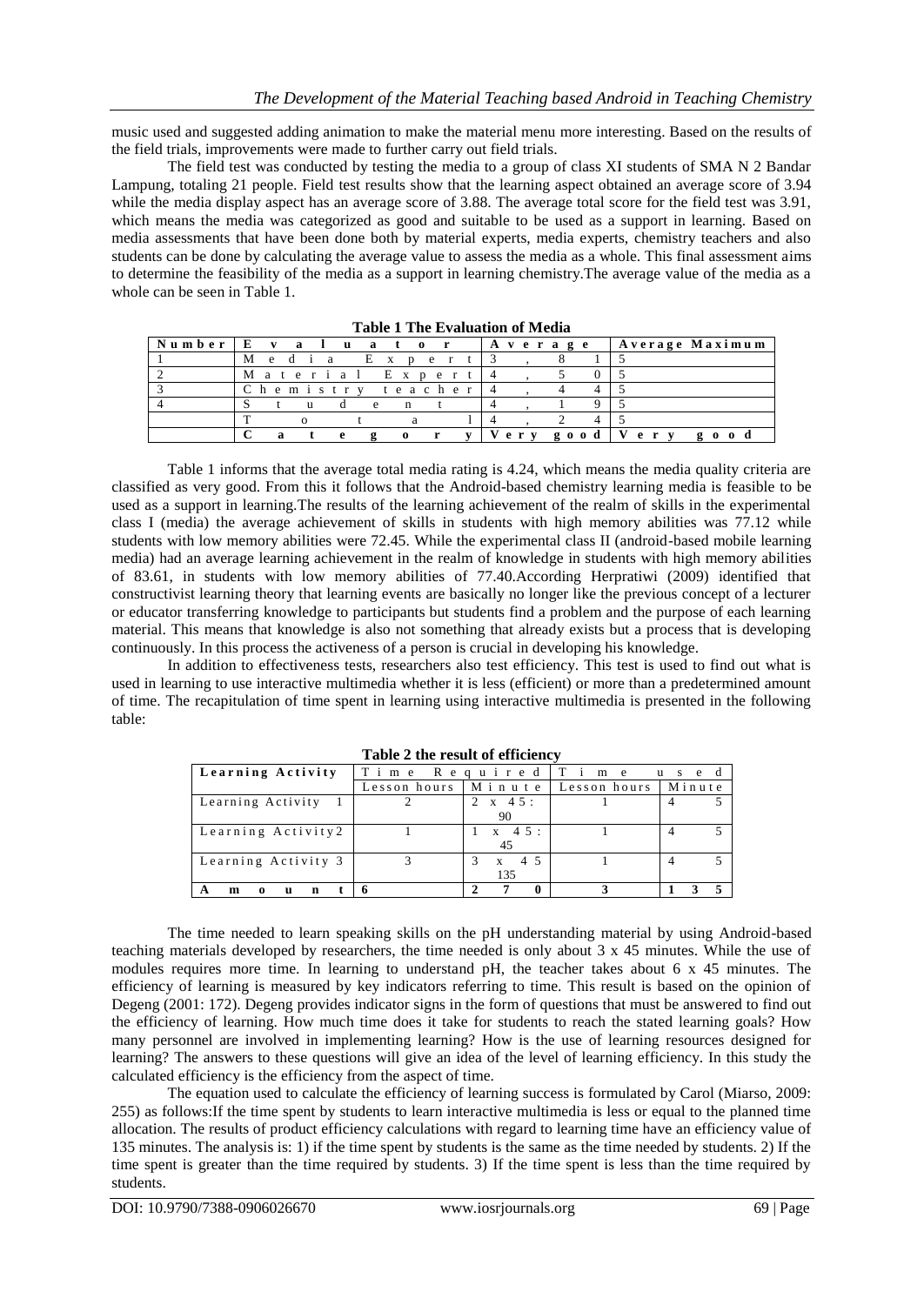music used and suggested adding animation to make the material menu more interesting. Based on the results of the field trials, improvements were made to further carry out field trials.

The field test was conducted by testing the media to a group of class XI students of SMA N 2 Bandar Lampung, totaling 21 people. Field test results show that the learning aspect obtained an average score of 3.94 while the media display aspect has an average score of 3.88. The average total score for the field test was 3.91, which means the media was categorized as good and suitable to be used as a support in learning. Based on media assessments that have been done both by material experts, media experts, chemistry teachers and also students can be done by calculating the average value to assess the media as a whole. This final assessment aims to determine the feasibility of the media as a support in learning chemistry.The average value of the media as a whole can be seen in Table 1.

| Number | $\cdot$ I E $\cdot$ |        |              | valuator          |                              | Average |  |                      | Average Maximum |
|--------|---------------------|--------|--------------|-------------------|------------------------------|---------|--|----------------------|-----------------|
|        | M                   | e di a |              | Exper             |                              |         |  |                      |                 |
|        |                     |        |              |                   | Material Expert              |         |  |                      |                 |
|        |                     |        |              |                   | Chemistry teacher            |         |  |                      |                 |
|        |                     |        |              | e<br>$\mathbf{n}$ |                              |         |  |                      |                 |
|        |                     |        |              |                   |                              |         |  |                      |                 |
|        |                     |        | $\mathbf{P}$ | $\Omega$          | $\mathbf{v}$<br>$\mathbf{r}$ |         |  | Very good   Very goo |                 |

| <b>Table 1 The Evaluation of Media</b> |  |
|----------------------------------------|--|
|----------------------------------------|--|

Table 1 informs that the average total media rating is 4.24, which means the media quality criteria are classified as very good. From this it follows that the Android-based chemistry learning media is feasible to be used as a support in learning.The results of the learning achievement of the realm of skills in the experimental class I (media) the average achievement of skills in students with high memory abilities was 77.12 while students with low memory abilities were 72.45. While the experimental class II (android-based mobile learning media) had an average learning achievement in the realm of knowledge in students with high memory abilities of 83.61, in students with low memory abilities of 77.40.According Herpratiwi (2009) identified that constructivist learning theory that learning events are basically no longer like the previous concept of a lecturer or educator transferring knowledge to participants but students find a problem and the purpose of each learning material. This means that knowledge is also not something that already exists but a process that is developing continuously. In this process the activeness of a person is crucial in developing his knowledge.

In addition to effectiveness tests, researchers also test efficiency. This test is used to find out what is used in learning to use interactive multimedia whether it is less (efficient) or more than a predetermined amount of time. The recapitulation of time spent in learning using interactive multimedia is presented in the following table:

| Learning Activity       | Time         | Required                               | Ti<br>m e<br>u.<br>e d<br>S. |        |  |
|-------------------------|--------------|----------------------------------------|------------------------------|--------|--|
|                         | Lesson hours | Minute                                 | Lesson hours                 | Minute |  |
| Learning Activity       |              | $2 \times 45$ :<br>90                  |                              |        |  |
| Learning Activity2      |              | $1 \times 45$ :<br>45                  |                              |        |  |
| Learning Activity 3     |              | $4\overline{5}$<br>$\mathbf{x}$<br>135 |                              |        |  |
| n<br>m<br>u<br>$\Omega$ |              | 0                                      |                              |        |  |

**Table 2 the result of efficiency**

The time needed to learn speaking skills on the pH understanding material by using Android-based teaching materials developed by researchers, the time needed is only about 3 x 45 minutes. While the use of modules requires more time. In learning to understand pH, the teacher takes about 6 x 45 minutes. The efficiency of learning is measured by key indicators referring to time. This result is based on the opinion of Degeng (2001: 172). Degeng provides indicator signs in the form of questions that must be answered to find out the efficiency of learning. How much time does it take for students to reach the stated learning goals? How many personnel are involved in implementing learning? How is the use of learning resources designed for learning? The answers to these questions will give an idea of the level of learning efficiency. In this study the calculated efficiency is the efficiency from the aspect of time.

The equation used to calculate the efficiency of learning success is formulated by Carol (Miarso, 2009: 255) as follows:If the time spent by students to learn interactive multimedia is less or equal to the planned time allocation. The results of product efficiency calculations with regard to learning time have an efficiency value of 135 minutes. The analysis is: 1) if the time spent by students is the same as the time needed by students. 2) If the time spent is greater than the time required by students. 3) If the time spent is less than the time required by students.